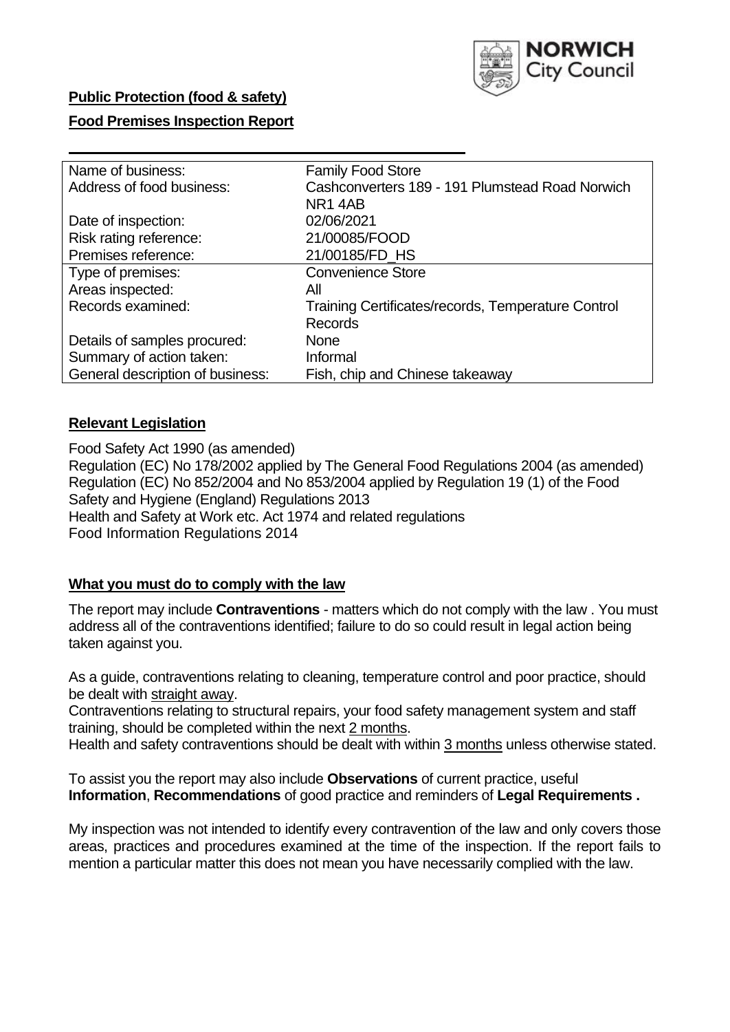

### **Public Protection (food & safety)**

#### **Food Premises Inspection Report**

| <b>Family Food Store</b>                           |  |  |  |  |  |
|----------------------------------------------------|--|--|--|--|--|
| Cashconverters 189 - 191 Plumstead Road Norwich    |  |  |  |  |  |
| NR14AB                                             |  |  |  |  |  |
| 02/06/2021                                         |  |  |  |  |  |
| 21/00085/FOOD                                      |  |  |  |  |  |
| 21/00185/FD_HS                                     |  |  |  |  |  |
| <b>Convenience Store</b>                           |  |  |  |  |  |
| All                                                |  |  |  |  |  |
| Training Certificates/records, Temperature Control |  |  |  |  |  |
| <b>Records</b>                                     |  |  |  |  |  |
| None                                               |  |  |  |  |  |
| Informal                                           |  |  |  |  |  |
| Fish, chip and Chinese takeaway                    |  |  |  |  |  |
|                                                    |  |  |  |  |  |

### **Relevant Legislation**

 Food Safety Act 1990 (as amended) Regulation (EC) No 178/2002 applied by The General Food Regulations 2004 (as amended) Regulation (EC) No 852/2004 and No 853/2004 applied by Regulation 19 (1) of the Food Safety and Hygiene (England) Regulations 2013 Health and Safety at Work etc. Act 1974 and related regulations Food Information Regulations 2014

### **What you must do to comply with the law**

 The report may include **Contraventions** - matters which do not comply with the law . You must address all of the contraventions identified; failure to do so could result in legal action being taken against you.

 As a guide, contraventions relating to cleaning, temperature control and poor practice, should be dealt with straight away.

 Contraventions relating to structural repairs, your food safety management system and staff training, should be completed within the next 2 months.

Health and safety contraventions should be dealt with within 3 months unless otherwise stated.

 To assist you the report may also include **Observations** of current practice, useful **Information**, **Recommendations** of good practice and reminders of **Legal Requirements .** 

 My inspection was not intended to identify every contravention of the law and only covers those areas, practices and procedures examined at the time of the inspection. If the report fails to mention a particular matter this does not mean you have necessarily complied with the law.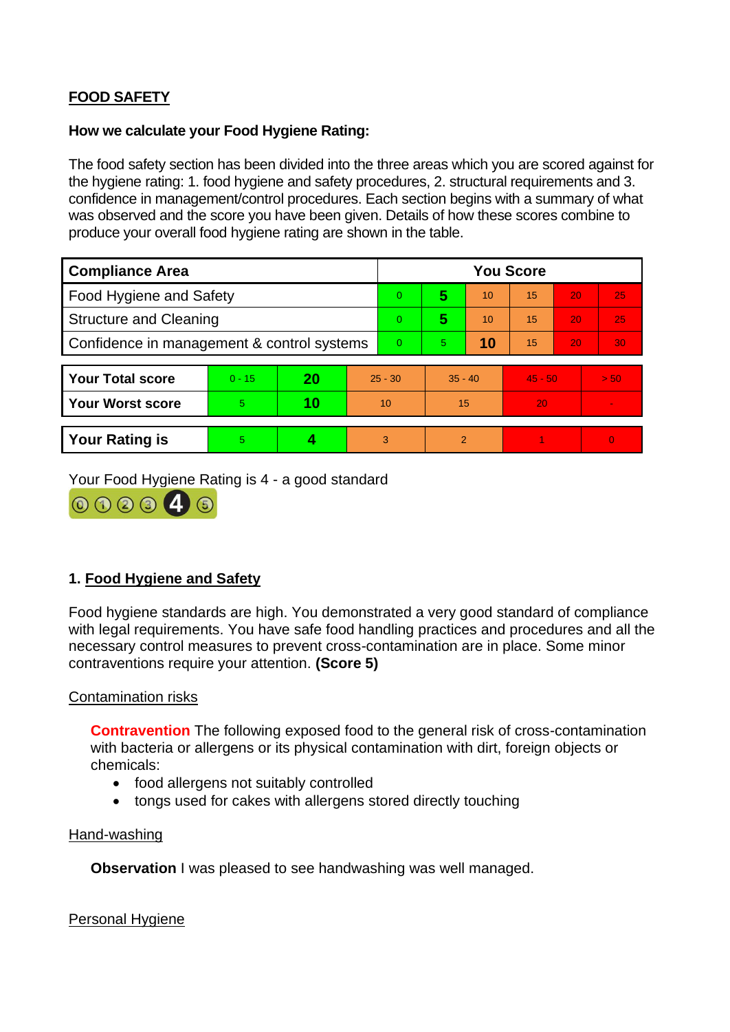# **FOOD SAFETY**

#### **How we calculate your Food Hygiene Rating:**

 The food safety section has been divided into the three areas which you are scored against for the hygiene rating: 1. food hygiene and safety procedures, 2. structural requirements and 3. confidence in management/control procedures. Each section begins with a summary of what was observed and the score you have been given. Details of how these scores combine to produce your overall food hygiene rating are shown in the table.

| <b>Compliance Area</b>                     |          |    |           | <b>You Score</b> |                |    |           |    |                |  |
|--------------------------------------------|----------|----|-----------|------------------|----------------|----|-----------|----|----------------|--|
| Food Hygiene and Safety                    |          |    |           | $\overline{0}$   | 5              | 10 | 15        | 20 | 25             |  |
| <b>Structure and Cleaning</b>              |          |    |           | $\overline{0}$   | 5              | 10 | 15        | 20 | 25             |  |
| Confidence in management & control systems |          |    |           | $\Omega$         | 5              | 10 | 15        | 20 | 30             |  |
|                                            |          |    |           |                  |                |    |           |    |                |  |
| <b>Your Total score</b>                    | $0 - 15$ | 20 | $25 - 30$ |                  | $35 - 40$      |    | $45 - 50$ |    | > 50           |  |
| <b>Your Worst score</b>                    | 5.       | 10 | 10        |                  | 15             |    | 20        |    | $\blacksquare$ |  |
|                                            |          |    |           |                  |                |    |           |    |                |  |
| <b>Your Rating is</b>                      | 5        |    |           | 3                | $\overline{2}$ |    |           |    | $\Omega$       |  |

Your Food Hygiene Rating is 4 - a good standard



# **1. Food Hygiene and Safety**

 with legal requirements. You have safe food handling practices and procedures and all the Food hygiene standards are high. You demonstrated a very good standard of compliance necessary control measures to prevent cross-contamination are in place. Some minor contraventions require your attention. **(Score 5)** 

### Contamination risks

 **Contravention** The following exposed food to the general risk of cross-contamination with bacteria or allergens or its physical contamination with dirt, foreign objects or chemicals:

- food allergens not suitably controlled
- tongs used for cakes with allergens stored directly touching

#### Hand-washing

**Observation** I was pleased to see handwashing was well managed.

Personal Hygiene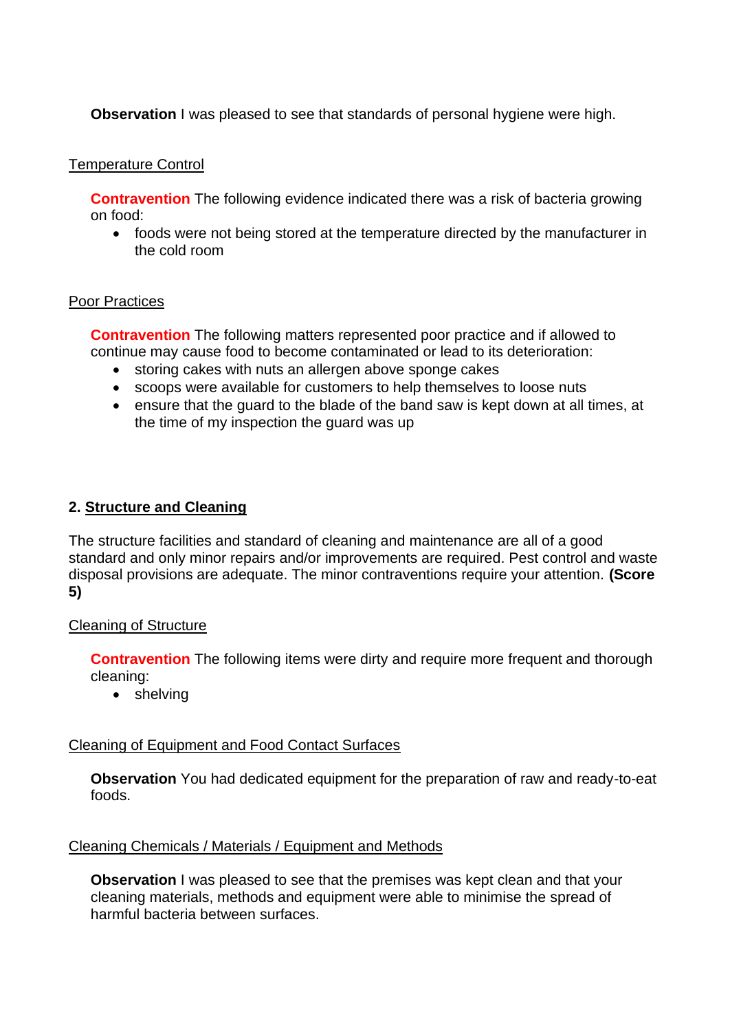**Observation** I was pleased to see that standards of personal hygiene were high.

#### Temperature Control

 **Contravention** The following evidence indicated there was a risk of bacteria growing on food:

• foods were not being stored at the temperature directed by the manufacturer in the cold room

#### Poor Practices

 **Contravention** The following matters represented poor practice and if allowed to continue may cause food to become contaminated or lead to its deterioration:

- storing cakes with nuts an allergen above sponge cakes
- scoops were available for customers to help themselves to loose nuts
- • ensure that the guard to the blade of the band saw is kept down at all times, at the time of my inspection the guard was up

### **2. Structure and Cleaning**

 The structure facilities and standard of cleaning and maintenance are all of a good standard and only minor repairs and/or improvements are required. Pest control and waste disposal provisions are adequate. The minor contraventions require your attention. **(Score 5)** 

### Cleaning of Structure

**Contravention** The following items were dirty and require more frequent and thorough cleaning:

• shelving

### Cleaning of Equipment and Food Contact Surfaces

 **Observation** You had dedicated equipment for the preparation of raw and ready-to-eat foods.

### Cleaning Chemicals / Materials / Equipment and Methods

**Observation** I was pleased to see that the premises was kept clean and that your cleaning materials, methods and equipment were able to minimise the spread of harmful bacteria between surfaces.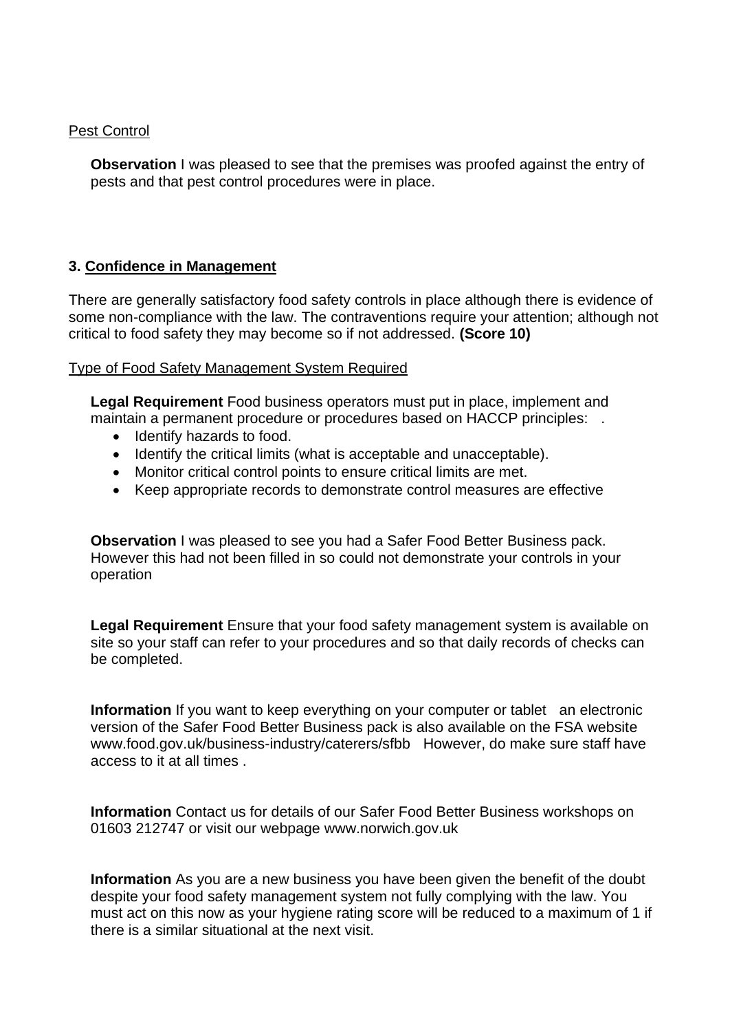#### Pest Control

**Observation** I was pleased to see that the premises was proofed against the entry of pests and that pest control procedures were in place.

## **3. Confidence in Management**

 There are generally satisfactory food safety controls in place although there is evidence of some non-compliance with the law. The contraventions require your attention; although not critical to food safety they may become so if not addressed. **(Score 10)** 

#### Type of Food Safety Management System Required

 maintain a permanent procedure or procedures based on HACCP principles: . **Legal Requirement** Food business operators must put in place, implement and

- Identify hazards to food.
- Identify the critical limits (what is acceptable and unacceptable).
- Monitor critical control points to ensure critical limits are met.
- Keep appropriate records to demonstrate control measures are effective

 **Observation** I was pleased to see you had a Safer Food Better Business pack. However this had not been filled in so could not demonstrate your controls in your operation

**Legal Requirement** Ensure that your food safety management system is available on site so your staff can refer to your procedures and so that daily records of checks can be completed.

 **Information** If you want to keep everything on your computer or tablet an electronic <www.food.gov.uk/business-industry/caterers/sfbb>However, do make sure staff have version of the Safer Food Better Business pack is also available on the FSA website access to it at all times .

**Information** Contact us for details of our Safer Food Better Business workshops on 01603 212747 or visit our webpage <www.norwich.gov.uk>

 **Information** As you are a new business you have been given the benefit of the doubt there is a similar situational at the next visit. despite your food safety management system not fully complying with the law. You must act on this now as your hygiene rating score will be reduced to a maximum of 1 if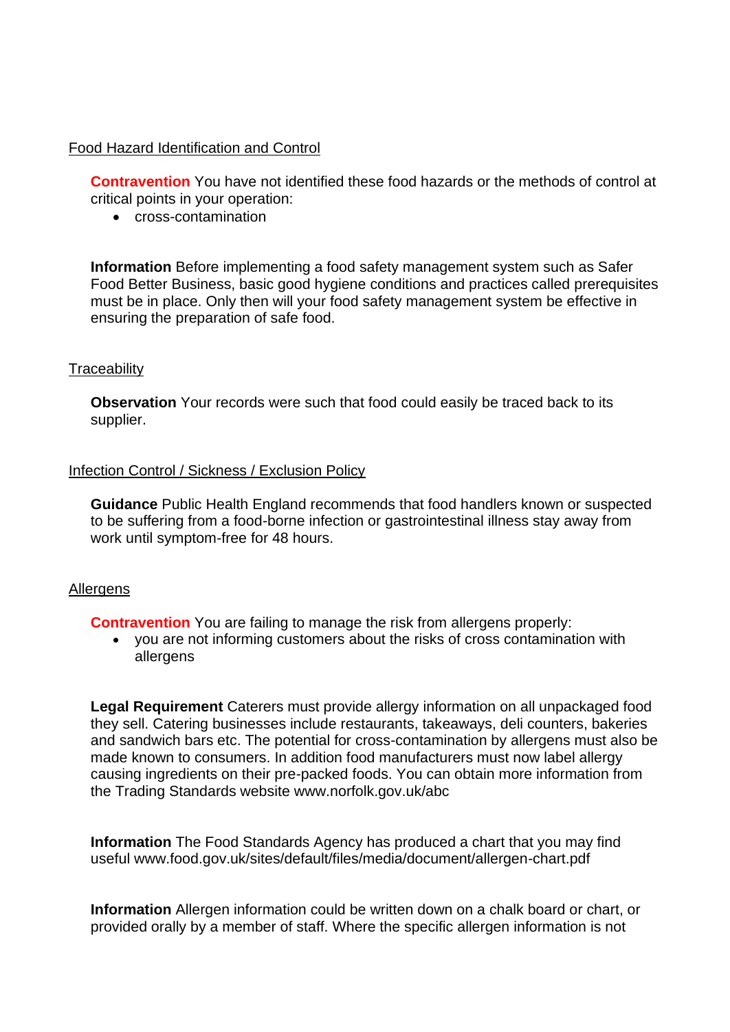### Food Hazard Identification and Control

**Contravention** You have not identified these food hazards or the methods of control at critical points in your operation:

• cross-contamination

**Information** Before implementing a food safety management system such as Safer Food Better Business, basic good hygiene conditions and practices called prerequisites must be in place. Only then will your food safety management system be effective in ensuring the preparation of safe food.

#### **Traceability**

**Observation** Your records were such that food could easily be traced back to its supplier.

#### Infection Control / Sickness / Exclusion Policy

**Guidance** Public Health England recommends that food handlers known or suspected to be suffering from a food-borne infection or gastrointestinal illness stay away from work until symptom-free for 48 hours.

#### **Allergens**

**Contravention** You are failing to manage the risk from allergens properly:

• you are not informing customers about the risks of cross contamination with allergens

 **Legal Requirement** Caterers must provide allergy information on all unpackaged food causing ingredients on their pre-packed foods. You can obtain more information from the Trading Standards website<www.norfolk.gov.uk/abc> they sell. Catering businesses include restaurants, takeaways, deli counters, bakeries and sandwich bars etc. The potential for cross-contamination by allergens must also be made known to consumers. In addition food manufacturers must now label allergy

 **Information** The Food Standards Agency has produced a chart that you may find useful <www.food.gov.uk/sites/default/files/media/document/allergen-chart.pdf>

 **Information** Allergen information could be written down on a chalk board or chart, or provided orally by a member of staff. Where the specific allergen information is not